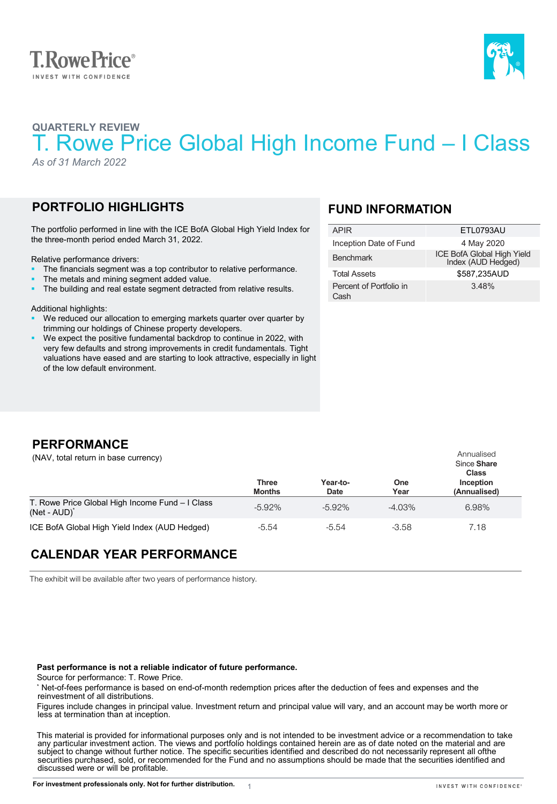



# **QUARTERLY REVIEW** T. Rowe Price Global High Income Fund – I Class

*As of 31 March 2022*

## **PORTFOLIO HIGHLIGHTS**

The portfolio performed in line with the ICE BofA Global High Yield Index for the three-month period ended March 31, 2022.

Relative performance drivers:

- The financials segment was a top contributor to relative performance.
- The metals and mining segment added value.
- The building and real estate segment detracted from relative results.

Additional highlights:

- We reduced our allocation to emerging markets quarter over quarter by trimming our holdings of Chinese property developers.
- We expect the positive fundamental backdrop to continue in 2022, with very few defaults and strong improvements in credit fundamentals. Tight valuations have eased and are starting to look attractive, especially in light of the low default environment.

## **FUND INFORMATION**

| APIR                            | ETL0793AU                                        |
|---------------------------------|--------------------------------------------------|
| Inception Date of Fund          | 4 May 2020                                       |
| <b>Benchmark</b>                | ICE BofA Global High Yield<br>Index (AUD Hedged) |
| <b>Total Assets</b>             | \$587,235AUD                                     |
| Percent of Portfolio in<br>Cash | 348%                                             |

## **PERFORMANCE**

(NAV, total return in base currency)

|                                                                             | Three<br><b>Months</b> | Year-to-<br>Date | One<br>Year | Since Share<br><b>Class</b><br>Inception<br>(Annualised) |
|-----------------------------------------------------------------------------|------------------------|------------------|-------------|----------------------------------------------------------|
| T. Rowe Price Global High Income Fund - I Class<br>(Net - AUD) <sup>*</sup> | $-5.92%$               | $-5.92\%$        | $-4.03\%$   | 6.98%                                                    |
| ICE BofA Global High Yield Index (AUD Hedged)                               | $-5.54$                | $-5.54$          | $-3.58$     | 7.18                                                     |

## **CALENDAR YEAR PERFORMANCE**

The exhibit will be available after two years of performance history.

#### **Past performance is not a reliable indicator of future performance.**

Source for performance: T. Rowe Price.

\* Net-of-fees performance is based on end-of-month redemption prices after the deduction of fees and expenses and the reinvestment of all distributions.

1

Figures include changes in principal value. Investment return and principal value will vary, and an account may be worth more or less at termination than at inception.

This material is provided for informational purposes only and is not intended to be investment advice or a recommendation to take<br>any particular investment action. The views and portfolio holdings contained herein are as o securities purchased, sold, or recommended for the Fund and no assumptions should be made that the securities identified and discussed were or will be profitable.

Annualised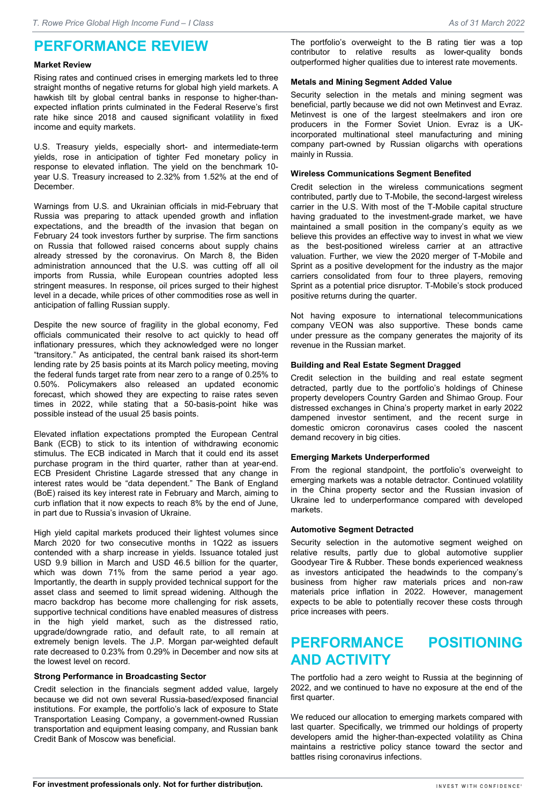## **PERFORMANCE REVIEW**

#### **Market Review**

Rising rates and continued crises in emerging markets led to three straight months of negative returns for global high yield markets. A hawkish tilt by global central banks in response to higher-thanexpected inflation prints culminated in the Federal Reserve's first rate hike since 2018 and caused significant volatility in fixed income and equity markets.

U.S. Treasury yields, especially short- and intermediate-term yields, rose in anticipation of tighter Fed monetary policy in response to elevated inflation. The yield on the benchmark 10 year U.S. Treasury increased to 2.32% from 1.52% at the end of December.

Warnings from U.S. and Ukrainian officials in mid-February that Russia was preparing to attack upended growth and inflation expectations, and the breadth of the invasion that began on February 24 took investors further by surprise. The firm sanctions on Russia that followed raised concerns about supply chains already stressed by the coronavirus. On March 8, the Biden administration announced that the U.S. was cutting off all oil imports from Russia, while European countries adopted less stringent measures. In response, oil prices surged to their highest level in a decade, while prices of other commodities rose as well in anticipation of falling Russian supply.

Despite the new source of fragility in the global economy, Fed officials communicated their resolve to act quickly to head off inflationary pressures, which they acknowledged were no longer "transitory." As anticipated, the central bank raised its short-term lending rate by 25 basis points at its March policy meeting, moving the federal funds target rate from near zero to a range of 0.25% to 0.50%. Policymakers also released an updated economic forecast, which showed they are expecting to raise rates seven times in 2022, while stating that a 50-basis-point hike was possible instead of the usual 25 basis points.

Elevated inflation expectations prompted the European Central Bank (ECB) to stick to its intention of withdrawing economic stimulus. The ECB indicated in March that it could end its asset purchase program in the third quarter, rather than at year-end. ECB President Christine Lagarde stressed that any change in interest rates would be "data dependent." The Bank of England (BoE) raised its key interest rate in February and March, aiming to curb inflation that it now expects to reach 8% by the end of June, in part due to Russia's invasion of Ukraine.

High yield capital markets produced their lightest volumes since March 2020 for two consecutive months in 1Q22 as issuers contended with a sharp increase in yields. Issuance totaled just USD 9.9 billion in March and USD 46.5 billion for the quarter, which was down 71% from the same period a year ago. Importantly, the dearth in supply provided technical support for the asset class and seemed to limit spread widening. Although the macro backdrop has become more challenging for risk assets, supportive technical conditions have enabled measures of distress in the high yield market, such as the distressed ratio, upgrade/downgrade ratio, and default rate, to all remain at extremely benign levels. The J.P. Morgan par-weighted default rate decreased to 0.23% from 0.29% in December and now sits at the lowest level on record.

#### **Strong Performance in Broadcasting Sector**

Credit selection in the financials segment added value, largely because we did not own several Russia-based/exposed financial institutions. For example, the portfolio's lack of exposure to State Transportation Leasing Company, a government-owned Russian transportation and equipment leasing company, and Russian bank Credit Bank of Moscow was beneficial.

The portfolio's overweight to the B rating tier was a top contributor to relative results as lower-quality bonds outperformed higher qualities due to interest rate movements.

### **Metals and Mining Segment Added Value**

Security selection in the metals and mining segment was beneficial, partly because we did not own Metinvest and Evraz. Metinvest is one of the largest steelmakers and iron ore producers in the Former Soviet Union. Evraz is a UKincorporated multinational steel manufacturing and mining company part-owned by Russian oligarchs with operations mainly in Russia.

### **Wireless Communications Segment Benefited**

Credit selection in the wireless communications segment contributed, partly due to T-Mobile, the second-largest wireless carrier in the U.S. With most of the T-Mobile capital structure having graduated to the investment-grade market, we have maintained a small position in the company's equity as we believe this provides an effective way to invest in what we view as the best-positioned wireless carrier at an attractive valuation. Further, we view the 2020 merger of T-Mobile and Sprint as a positive development for the industry as the major carriers consolidated from four to three players, removing Sprint as a potential price disruptor. T-Mobile's stock produced positive returns during the quarter.

Not having exposure to international telecommunications company VEON was also supportive. These bonds came under pressure as the company generates the majority of its revenue in the Russian market.

### **Building and Real Estate Segment Dragged**

Credit selection in the building and real estate segment detracted, partly due to the portfolio's holdings of Chinese property developers Country Garden and Shimao Group. Four distressed exchanges in China's property market in early 2022 dampened investor sentiment, and the recent surge in domestic omicron coronavirus cases cooled the nascent demand recovery in big cities.

### **Emerging Markets Underperformed**

From the regional standpoint, the portfolio's overweight to emerging markets was a notable detractor. Continued volatility in the China property sector and the Russian invasion of Ukraine led to underperformance compared with developed markets.

### **Automotive Segment Detracted**

Security selection in the automotive segment weighed on relative results, partly due to global automotive supplier Goodyear Tire & Rubber. These bonds experienced weakness as investors anticipated the headwinds to the company's business from higher raw materials prices and non-raw materials price inflation in 2022. However, management expects to be able to potentially recover these costs through price increases with peers.

# **PERFORMANCE POSITIONING AND ACTIVITY**

The portfolio had a zero weight to Russia at the beginning of 2022, and we continued to have no exposure at the end of the first quarter.

We reduced our allocation to emerging markets compared with last quarter. Specifically, we trimmed our holdings of property developers amid the higher-than-expected volatility as China maintains a restrictive policy stance toward the sector and battles rising coronavirus infections.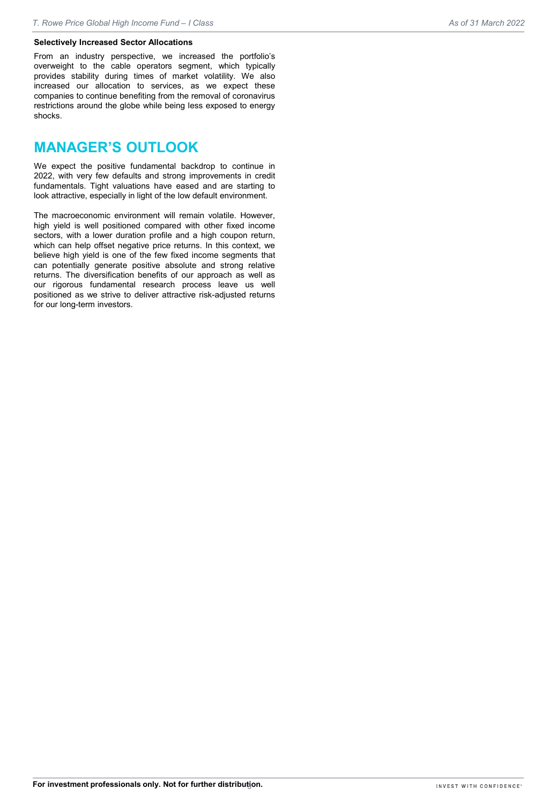From an industry perspective, we increased the portfolio's overweight to the cable operators segment, which typically provides stability during times of market volatility. We also increased our allocation to services, as we expect these companies to continue benefiting from the removal of coronavirus restrictions around the globe while being less exposed to energy shocks.

## **MANAGER'S OUTLOOK**

We expect the positive fundamental backdrop to continue in 2022, with very few defaults and strong improvements in credit fundamentals. Tight valuations have eased and are starting to look attractive, especially in light of the low default environment.

The macroeconomic environment will remain volatile. However, high yield is well positioned compared with other fixed income sectors, with a lower duration profile and a high coupon return, which can help offset negative price returns. In this context, we believe high yield is one of the few fixed income segments that can potentially generate positive absolute and strong relative returns. The diversification benefits of our approach as well as our rigorous fundamental research process leave us well positioned as we strive to deliver attractive risk-adjusted returns for our long-term investors.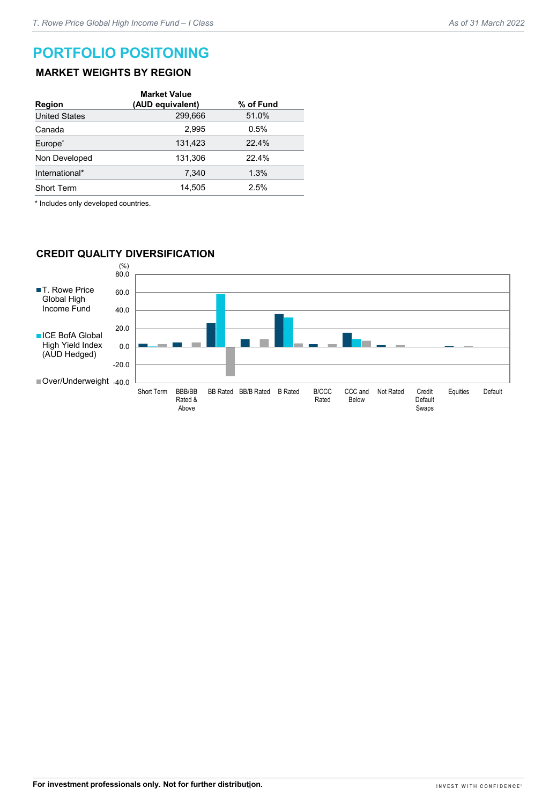## **PORTFOLIO POSITONING**

### **MARKET WEIGHTS BY REGION**

| <b>Market Value</b><br>(AUD equivalent) | % of Fund |
|-----------------------------------------|-----------|
| 299,666                                 | 51.0%     |
| 2.995                                   | 0.5%      |
| 131.423                                 | 22.4%     |
| 131,306                                 | 22.4%     |
| 7.340                                   | 1.3%      |
| 14.505                                  | 2.5%      |
|                                         |           |

\* Includes only developed countries.

### **CREDIT QUALITY DIVERSIFICATION**

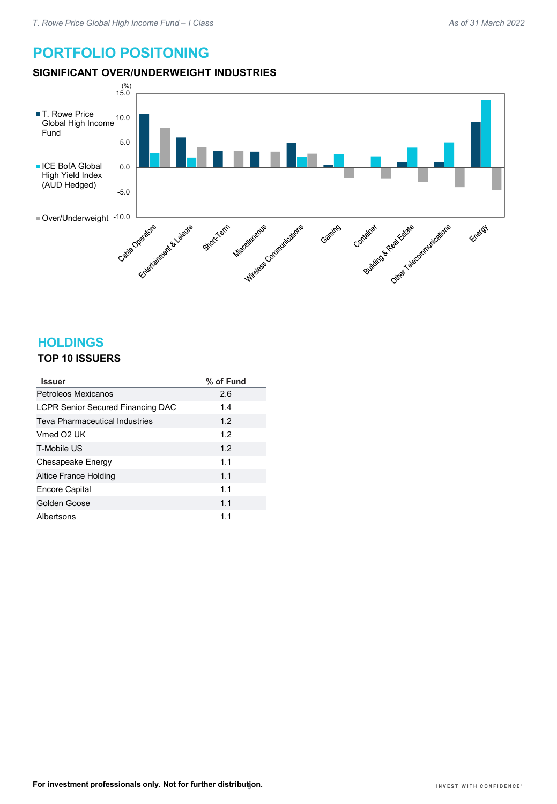# **PORTFOLIO POSITONING**

## **SIGNIFICANT OVER/UNDERWEIGHT INDUSTRIES**



## **HOLDINGS**

## **TOP 10 ISSUERS**

| <b>Issuer</b>                            | % of Fund |
|------------------------------------------|-----------|
| Petroleos Mexicanos                      | 2.6       |
| <b>LCPR Senior Secured Financing DAC</b> | 1.4       |
| Teva Pharmaceutical Industries           | 1.2       |
| Vmed O <sub>2</sub> UK                   | 1.2       |
| T-Mobile US                              | 1.2       |
| Chesapeake Energy                        | 1.1       |
| Altice France Holding                    | 1.1       |
| <b>Encore Capital</b>                    | 1.1       |
| Golden Goose                             | 1.1       |
| Albertsons                               | 1.1       |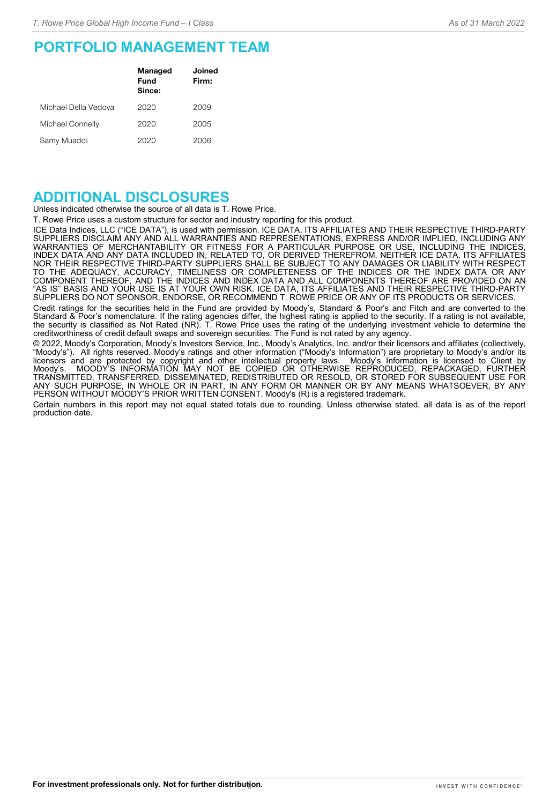## **PORTFOLIO MANAGEMENT TEAM**

|                      | <b>Managed</b><br>Fund<br>Since: | Joined<br>Firm: |
|----------------------|----------------------------------|-----------------|
| Michael Della Vedova | 2020                             | 2009            |
| Michael Connelly     | 2020                             | 2005            |
| Samy Muaddi          | 2020                             | 2006            |

## **ADDITIONAL DISCLOSURES**

Unless indicated otherwise the source of all data is T. Rowe Price.

T. Rowe Price uses a custom structure for sector and industry reporting for this product.

ICE Data Indices, LLC ("ICE DATA"), is used with permission. ICE DATA, ITS AFFILIATES AND THEIR RESPECTIVE THIRD-PARTY SUPPLIERS DISCLAIM ANY AND ALL WARRANTIES AND REPRESENTATIONS, EXPRESS AND/OR IMPLIED, INCLUDING ANY WARRANTIES OF MERCHANTABILITY OR FITNESS FOR A PARTICULAR PURPOSE OR USE, INCLUDING THE INDICES, INDEX DATA AND ANY DATA INCLUDED IN, RELATED TO, OR DERIVED THEREFROM. NEITHER ICE DATA, ITS AFFILIATES NOR THEIR RESPECTIVE THIRD-PARTY SUPPLIERS SHALL BE SUBJECT TO ANY DAMAGES OR LIABILITY WITH RESPECT TO THE ADEQUACY, ACCURACY, TIMELINESS OR COMPLETENESS OF THE INDICES OR THE INDEX DATA OR ANY COMPONENT THEREOF, AND THE INDICES AND INDEX DATA AND ALL COMPONENTS THEREOF ARE PROVIDED ON AN "AS IS" BASIS AND YOUR USE IS AT YOUR OWN RISK. ICE DATA, ITS AFFILIATES AND THEIR RESPECTIVE THIRD-PARTY SUPPLIERS DO NOT SPONSOR, ENDORSE, OR RECOMMEND T. ROWE PRICE OR ANY OF ITS PRODUCTS OR SERVICES.

Credit ratings for the securities held in the Fund are provided by Moody's, Standard & Poor's and Fitch and are converted to the Standard & Poor's nomenclature. If the rating agencies differ, the highest rating is applied to the security. If a rating is not available, the security is classified as Not Rated (NR). T. Rowe Price uses the rating of the underlying investment vehicle to determine the creditworthiness of credit default swaps and sovereign securities. The Fund is not rated by any agency.

© 2022, Moody's Corporation, Moody's Investors Service, Inc., Moody's Analytics, Inc. and/or their licensors and affiliates (collectively, "Moody's"). All rights reserved. Moody's ratings and other information ("Moody's Information") are proprietary to Moody's and/or its licensors and are protected by copyright and other intellectual property laws. Moody's Information is licensed to Client by Moody's. MOODY'S INFORMATION MAY NOT BE COPIED OR OTHERWISE REPRODUCED, REPACKAGED, FURTHER TRANSMITTED, TRANSFERRED, DISSEMINATED, REDISTRIBUTED OR RESOLD, OR STORED FOR SUBSEQUENT USE FOR ANY SUCH PURPOSE, IN WHOLE OR IN PART, IN ANY FORM OR MANNER OR BY ANY MEANS WHATSOEVER, BY ANY PERSON WITHOUT MOODY'S PRIOR WRITTEN CONSENT. Moody's (R) is a registered trademark.

Certain numbers in this report may not equal stated totals due to rounding. Unless otherwise stated, all data is as of the report production date.